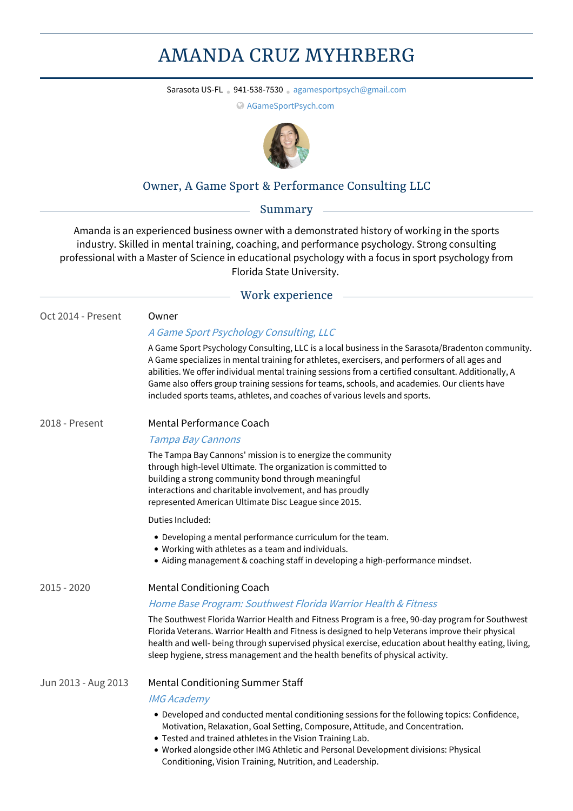# AMANDA CRUZ MYHRBERG

Sarasota US-FL • 941-538-7530 • [agamesportpsych@gmail.com](mailto:agamesportpsych@gmail.com)

[AGameSportPsych.com](http://www.agamesportpsych.com)



## Owner, A Game Sport & Performance Consulting LLC

Summary

Amanda is an experienced business owner with a demonstrated history of working in the sports industry. Skilled in mental training, coaching, and performance psychology. Strong consulting professional with a Master of Science in educational psychology with a focus in sport psychology from Florida State University.

### Work experience

| Oct 2014 - Present  | Owner                                                                                                                                                                                                                                                                                                                                                                                                                                                                                    |
|---------------------|------------------------------------------------------------------------------------------------------------------------------------------------------------------------------------------------------------------------------------------------------------------------------------------------------------------------------------------------------------------------------------------------------------------------------------------------------------------------------------------|
|                     | A Game Sport Psychology Consulting, LLC                                                                                                                                                                                                                                                                                                                                                                                                                                                  |
|                     | A Game Sport Psychology Consulting, LLC is a local business in the Sarasota/Bradenton community.<br>A Game specializes in mental training for athletes, exercisers, and performers of all ages and<br>abilities. We offer individual mental training sessions from a certified consultant. Additionally, A<br>Game also offers group training sessions for teams, schools, and academies. Our clients have<br>included sports teams, athletes, and coaches of various levels and sports. |
| 2018 - Present      | <b>Mental Performance Coach</b>                                                                                                                                                                                                                                                                                                                                                                                                                                                          |
|                     | <b>Tampa Bay Cannons</b>                                                                                                                                                                                                                                                                                                                                                                                                                                                                 |
|                     | The Tampa Bay Cannons' mission is to energize the community<br>through high-level Ultimate. The organization is committed to<br>building a strong community bond through meaningful<br>interactions and charitable involvement, and has proudly<br>represented American Ultimate Disc League since 2015.                                                                                                                                                                                 |
|                     | Duties Included:                                                                                                                                                                                                                                                                                                                                                                                                                                                                         |
|                     | • Developing a mental performance curriculum for the team.<br>• Working with athletes as a team and individuals.<br>• Aiding management & coaching staff in developing a high-performance mindset.                                                                                                                                                                                                                                                                                       |
| $2015 - 2020$       | <b>Mental Conditioning Coach</b>                                                                                                                                                                                                                                                                                                                                                                                                                                                         |
|                     | Home Base Program: Southwest Florida Warrior Health & Fitness                                                                                                                                                                                                                                                                                                                                                                                                                            |
|                     | The Southwest Florida Warrior Health and Fitness Program is a free, 90-day program for Southwest<br>Florida Veterans. Warrior Health and Fitness is designed to help Veterans improve their physical<br>health and well- being through supervised physical exercise, education about healthy eating, living,<br>sleep hygiene, stress management and the health benefits of physical activity.                                                                                           |
| Jun 2013 - Aug 2013 | <b>Mental Conditioning Summer Staff</b>                                                                                                                                                                                                                                                                                                                                                                                                                                                  |
|                     | <b>IMG Academy</b>                                                                                                                                                                                                                                                                                                                                                                                                                                                                       |
|                     | • Developed and conducted mental conditioning sessions for the following topics: Confidence,<br>Motivation, Relaxation, Goal Setting, Composure, Attitude, and Concentration.                                                                                                                                                                                                                                                                                                            |

- Tested and trained athletes in the Vision Training Lab.
- Worked alongside other IMG Athletic and Personal Development divisions: Physical Conditioning, Vision Training, Nutrition, and Leadership.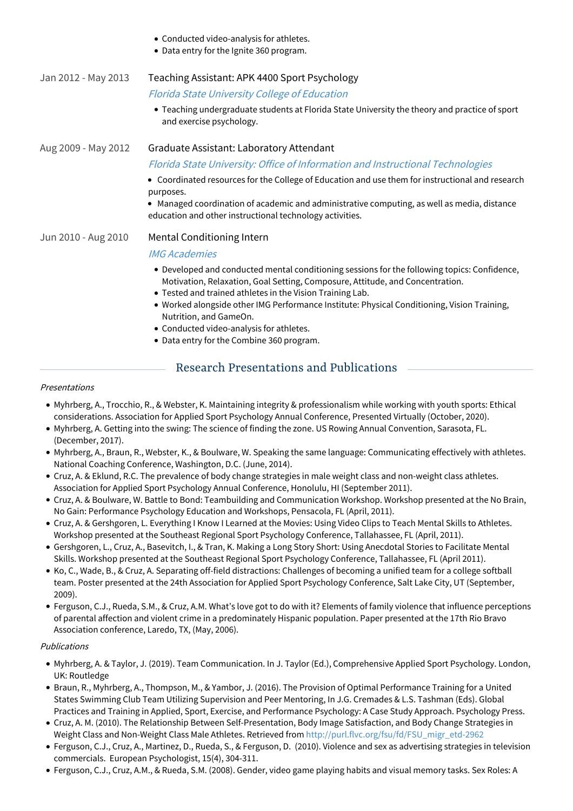|                     | • Conducted video-analysis for athletes.<br>• Data entry for the Ignite 360 program.                                                                                                                                                       |
|---------------------|--------------------------------------------------------------------------------------------------------------------------------------------------------------------------------------------------------------------------------------------|
| Jan 2012 - May 2013 | Teaching Assistant: APK 4400 Sport Psychology                                                                                                                                                                                              |
|                     | Florida State University College of Education                                                                                                                                                                                              |
|                     | • Teaching undergraduate students at Florida State University the theory and practice of sport<br>and exercise psychology.                                                                                                                 |
| Aug 2009 - May 2012 | Graduate Assistant: Laboratory Attendant                                                                                                                                                                                                   |
|                     | Florida State University: Office of Information and Instructional Technologies                                                                                                                                                             |
|                     | • Coordinated resources for the College of Education and use them for instructional and research<br>purposes.                                                                                                                              |
|                     | • Managed coordination of academic and administrative computing, as well as media, distance<br>education and other instructional technology activities.                                                                                    |
| Jun 2010 - Aug 2010 | Mental Conditioning Intern                                                                                                                                                                                                                 |
|                     | <b>IMG Academies</b>                                                                                                                                                                                                                       |
|                     | • Developed and conducted mental conditioning sessions for the following topics: Confidence,<br>Motivation, Relaxation, Goal Setting, Composure, Attitude, and Concentration.<br>• Tested and trained athletes in the Vision Training Lab. |
|                     | • Worked alongside other IMG Performance Institute: Physical Conditioning, Vision Training,<br>Nutrition, and GameOn.<br>• Conducted video-analysis for athletes.<br>• Data entry for the Combine 360 program.                             |
|                     |                                                                                                                                                                                                                                            |

## Research Presentations and Publications

#### Presentations

- Myhrberg, A., Trocchio, R., & Webster, K. Maintaining integrity & professionalism while working with youth sports: Ethical considerations. Association for Applied Sport Psychology Annual Conference, Presented Virtually (October, 2020).
- Myhrberg, A. Getting into the swing: The science of finding the zone. US Rowing Annual Convention, Sarasota, FL. (December, 2017).
- Myhrberg, A., Braun, R., Webster, K., & Boulware, W. Speaking the same language: Communicating effectively with athletes. National Coaching Conference, Washington, D.C. (June, 2014).
- Cruz, A. & Eklund, R.C. The prevalence of body change strategies in male weight class and non-weight class athletes. Association for Applied Sport Psychology Annual Conference, Honolulu, HI (September 2011).
- Cruz, A. & Boulware, W. Battle to Bond: Teambuilding and Communication Workshop. Workshop presented at the No Brain, No Gain: Performance Psychology Education and Workshops, Pensacola, FL (April, 2011).
- Cruz, A. & Gershgoren, L. Everything I Know I Learned at the Movies: Using Video Clips to Teach Mental Skills to Athletes. Workshop presented at the Southeast Regional Sport Psychology Conference, Tallahassee, FL (April, 2011).
- Gershgoren, L., Cruz, A., Basevitch, I., & Tran, K. Making a Long Story Short: Using Anecdotal Stories to Facilitate Mental Skills. Workshop presented at the Southeast Regional Sport Psychology Conference, Tallahassee, FL (April 2011).
- Ko, C., Wade, B., & Cruz, A. Separating off-field distractions: Challenges of becoming a unified team for a college softball team. Poster presented at the 24th Association for Applied Sport Psychology Conference, Salt Lake City, UT (September, 2009).
- Ferguson, C.J., Rueda, S.M., & Cruz, A.M. What's love got to do with it? Elements of family violence that influence perceptions of parental affection and violent crime in a predominately Hispanic population. Paper presented at the 17th Rio Bravo Association conference, Laredo, TX, (May, 2006).

#### Publications

- Myhrberg, A. & Taylor, J. (2019). Team Communication. In J. Taylor (Ed.), Comprehensive Applied Sport Psychology. London, UK: Routledge
- Braun, R., Myhrberg, A., Thompson, M., & Yambor, J. (2016). The Provision ofOptimal Performance Training for a United States Swimming Club Team Utilizing Supervision and Peer Mentoring, In J.G. Cremades & L.S. Tashman (Eds). Global Practices and Training in Applied, Sport, Exercise, and Performance Psychology: A Case Study Approach. Psychology Press.
- Cruz, A. M. (2010). The Relationship Between Self-Presentation, Body Image Satisfaction, and Body Change Strategies in Weight Class and Non-Weight Class Male Athletes. Retrieved from [http://purl.flvc.org/fsu/fd/FSU\\_migr\\_etd-2962](http://purl.flvc.org/fsu/fd/FSU_migr_etd-2962)
- Ferguson, C.J., Cruz, A., Martinez, D., Rueda, S., & Ferguson, D. (2010). Violence and sex as advertising strategies in television commercials. European Psychologist, 15(4), 304-311.
- Ferguson, C.J., Cruz, A.M., & Rueda, S.M. (2008). Gender, video game playing habits and visual memory tasks. Sex Roles: A